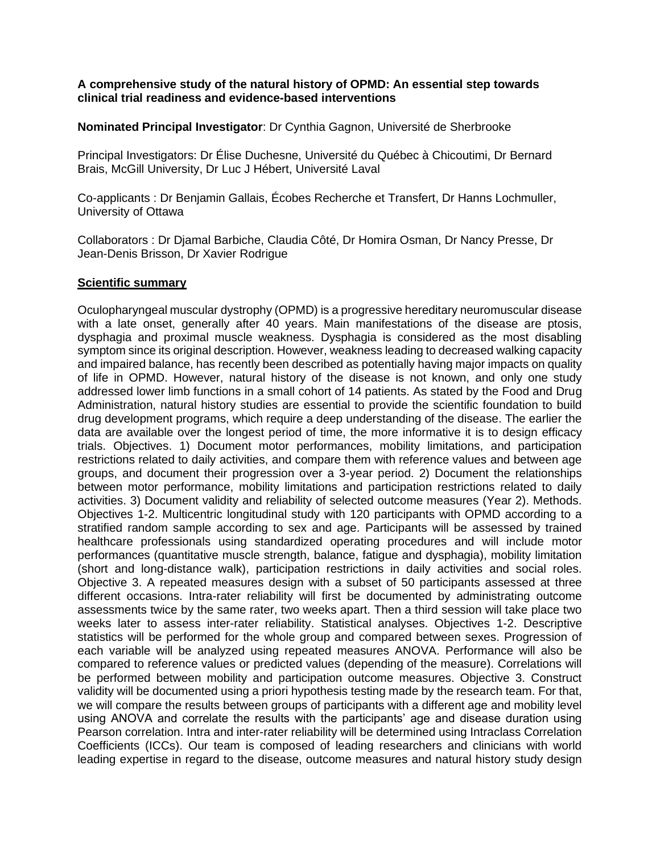## **A comprehensive study of the natural history of OPMD: An essential step towards clinical trial readiness and evidence-based interventions**

**Nominated Principal Investigator**: Dr Cynthia Gagnon, Université de Sherbrooke

Principal Investigators: Dr Élise Duchesne, Université du Québec à Chicoutimi, Dr Bernard Brais, McGill University, Dr Luc J Hébert, Université Laval

Co-applicants : Dr Benjamin Gallais, Écobes Recherche et Transfert, Dr Hanns Lochmuller, University of Ottawa

Collaborators : Dr Djamal Barbiche, Claudia Côté, Dr Homira Osman, Dr Nancy Presse, Dr Jean-Denis Brisson, Dr Xavier Rodrigue

## **Scientific summary**

Oculopharyngeal muscular dystrophy (OPMD) is a progressive hereditary neuromuscular disease with a late onset, generally after 40 years. Main manifestations of the disease are ptosis, dysphagia and proximal muscle weakness. Dysphagia is considered as the most disabling symptom since its original description. However, weakness leading to decreased walking capacity and impaired balance, has recently been described as potentially having major impacts on quality of life in OPMD. However, natural history of the disease is not known, and only one study addressed lower limb functions in a small cohort of 14 patients. As stated by the Food and Drug Administration, natural history studies are essential to provide the scientific foundation to build drug development programs, which require a deep understanding of the disease. The earlier the data are available over the longest period of time, the more informative it is to design efficacy trials. Objectives. 1) Document motor performances, mobility limitations, and participation restrictions related to daily activities, and compare them with reference values and between age groups, and document their progression over a 3-year period. 2) Document the relationships between motor performance, mobility limitations and participation restrictions related to daily activities. 3) Document validity and reliability of selected outcome measures (Year 2). Methods. Objectives 1-2. Multicentric longitudinal study with 120 participants with OPMD according to a stratified random sample according to sex and age. Participants will be assessed by trained healthcare professionals using standardized operating procedures and will include motor performances (quantitative muscle strength, balance, fatigue and dysphagia), mobility limitation (short and long-distance walk), participation restrictions in daily activities and social roles. Objective 3. A repeated measures design with a subset of 50 participants assessed at three different occasions. Intra-rater reliability will first be documented by administrating outcome assessments twice by the same rater, two weeks apart. Then a third session will take place two weeks later to assess inter-rater reliability. Statistical analyses. Objectives 1-2. Descriptive statistics will be performed for the whole group and compared between sexes. Progression of each variable will be analyzed using repeated measures ANOVA. Performance will also be compared to reference values or predicted values (depending of the measure). Correlations will be performed between mobility and participation outcome measures. Objective 3. Construct validity will be documented using a priori hypothesis testing made by the research team. For that, we will compare the results between groups of participants with a different age and mobility level using ANOVA and correlate the results with the participants' age and disease duration using Pearson correlation. Intra and inter-rater reliability will be determined using Intraclass Correlation Coefficients (ICCs). Our team is composed of leading researchers and clinicians with world leading expertise in regard to the disease, outcome measures and natural history study design